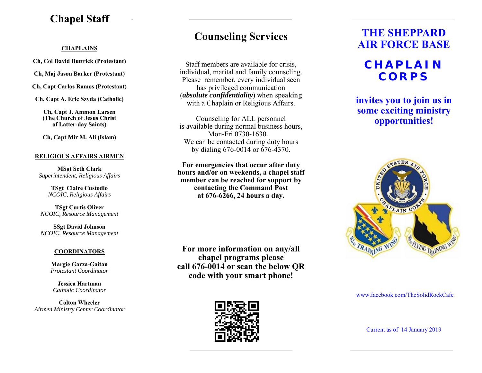### **Chapel Staff**

#### **CHAPLAINS**

**Ch, Col David Buttrick (Protestant)** 

**Ch, Maj Jason Barker (Protestant)** 

**Ch, Capt Carlos Ramos (Protestant)** 

**Ch, Capt A. Eric Szyda (Catholic)** 

**Ch, Capt J. Ammon Larsen (The Church of Jesus Christ of Latter-day Saints)** 

**Ch, Capt Mir M. Ali (Islam)** 

### **RELIGIOUS AFFAIRS AIRMEN**

**MSgt Seth Clark**  *Superintendent, Religious Affairs* 

> **TSgt Claire Custodio**  *NCOIC, Religious Affairs*

**TSgt Curtis Oliver**  *NCOIC, Resource Management* 

**SSgt David Johnson**  *NCOIC, Resource Management* 

### **COORDINATORS**

**Margie Garza-Gaitan**  *Protestant Coordinator*

**Jessica Hartman** *Catholic Coordinator* 

**Colton Wheeler** *Airmen Ministry Center Coordinator*

# **Counseling Services**

Staff members are available for crisis, individual, marital and family counseling. Please remember, every individual seen has privileged communication (*absolute confidentiality*) when speaking with a Chaplain or Religious Affairs.

Counseling for ALL personnel is available during normal business hours, Mon-Fri 0730-1630. We can be contacted during duty hours by dialing 676-0014 or 676-4370.

**For emergencies that occur after duty hours and/or on weekends, a chapel staff member can be reached for support by contacting the Command Post at 676-6266, 24 hours a day.** 

**For more information on any/all chapel programs please call 676-0014 or scan the below QR code with your smart phone!** 



# **THE SHEPPARD AIR FORCE BASE**

# **CHAPLAIN CORPS**

**invites you to join us in some exciting ministry opportunities!** 



#### www.facebook.com/TheSolidRockCafe

Current as of 14 January 2019